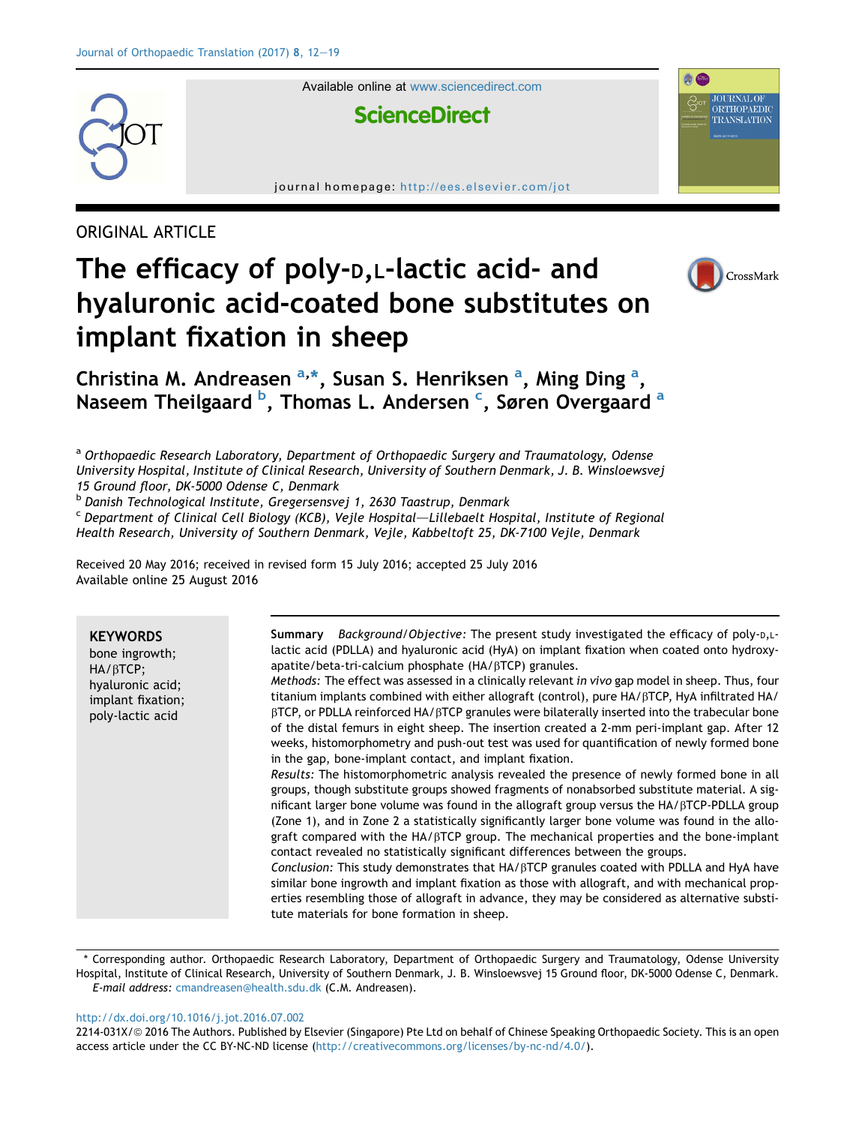

Available online at [www.sciencedirect.com](www.sciencedirect.com/science/journal/2214031X)

# **ScienceDirect**

journal homepage: <http://ees.elsevier.com/jot>

ORIGINAL ARTICLE

# The efficacy of poly-D,L-lactic acid- and hyaluronic acid-coated bone substitutes on implant fixation in sheep



**JOURNAL OF** ORTHOPAEDIC TRANSLATION

**A** 

Christina M. Andreasen <sup>a,\*</sup>, Susan S. Henriksen <sup>a</sup>, Ming Ding <sup>a</sup>, Naseem Theilgaard <sup>b</sup>, Thomas L. Andersen <sup>c</sup>, Søren Overgaard <sup>a</sup>

<sup>a</sup> Orthopaedic Research Laboratory, Department of Orthopaedic Surgery and Traumatology, Odense University Hospital, Institute of Clinical Research, University of Southern Denmark, J. B. Winsloewsvej 15 Ground floor, DK-5000 Odense C, Denmark

<sup>b</sup> Danish Technological Institute, Gregersensvej 1, 2630 Taastrup, Denmark

 $c$  Department of Clinical Cell Biology (KCB), Vejle Hospital—Lillebaelt Hospital, Institute of Regional Health Research, University of Southern Denmark, Vejle, Kabbeltoft 25, DK-7100 Vejle, Denmark

Received 20 May 2016; received in revised form 15 July 2016; accepted 25 July 2016 Available online 25 August 2016

**KEYWORDS** bone ingrowth; HA/<sub>BTCP</sub>; hyaluronic acid; implant fixation; poly-lactic acid Summary Background/Objective: The present study investigated the efficacy of poly- $D, L$ lactic acid (PDLLA) and hyaluronic acid (HyA) on implant fixation when coated onto hydroxyapatite/beta-tri-calcium phosphate (HA/ $\beta$ TCP) granules. Methods: The effect was assessed in a clinically relevant in vivo gap model in sheep. Thus, four titanium implants combined with either allograft (control), pure HA/ $\beta$ TCP, HyA infiltrated HA/  $\beta$ TCP, or PDLLA reinforced HA/ $\beta$ TCP granules were bilaterally inserted into the trabecular bone of the distal femurs in eight sheep. The insertion created a 2-mm peri-implant gap. After 12 weeks, histomorphometry and push-out test was used for quantification of newly formed bone in the gap, bone-implant contact, and implant fixation. Results: The histomorphometric analysis revealed the presence of newly formed bone in all groups, though substitute groups showed fragments of nonabsorbed substitute material. A significant larger bone volume was found in the allograft group versus the  $HA/BTCP$ -PDLLA group (Zone 1), and in Zone 2 a statistically significantly larger bone volume was found in the allograft compared with the  $HA/BTCP$  group. The mechanical properties and the bone-implant contact revealed no statistically significant differences between the groups. Conclusion: This study demonstrates that  $HA/\beta$ TCP granules coated with PDLLA and HyA have similar bone ingrowth and implant fixation as those with allograft, and with mechanical properties resembling those of allograft in advance, they may be considered as alternative substitute materials for bone formation in sheep.

\* Corresponding author. Orthopaedic Research Laboratory, Department of Orthopaedic Surgery and Traumatology, Odense University Hospital, Institute of Clinical Research, University of Southern Denmark, J. B. Winsloewsvej 15 Ground floor, DK-5000 Odense C, Denmark. E-mail address: [cmandreasen@health.sdu.dk](mailto:cmandreasen@health.sdu.dk) (C.M. Andreasen).

<http://dx.doi.org/10.1016/j.jot.2016.07.002>

2214-031X/© 2016 The Authors. Published by Elsevier (Singapore) Pte Ltd on behalf of Chinese Speaking Orthopaedic Society. This is an open access article under the CC BY-NC-ND license [\(http://creativecommons.org/licenses/by-nc-nd/4.0/\)](http://creativecommons.org/licenses/by-nc-nd/4.0/).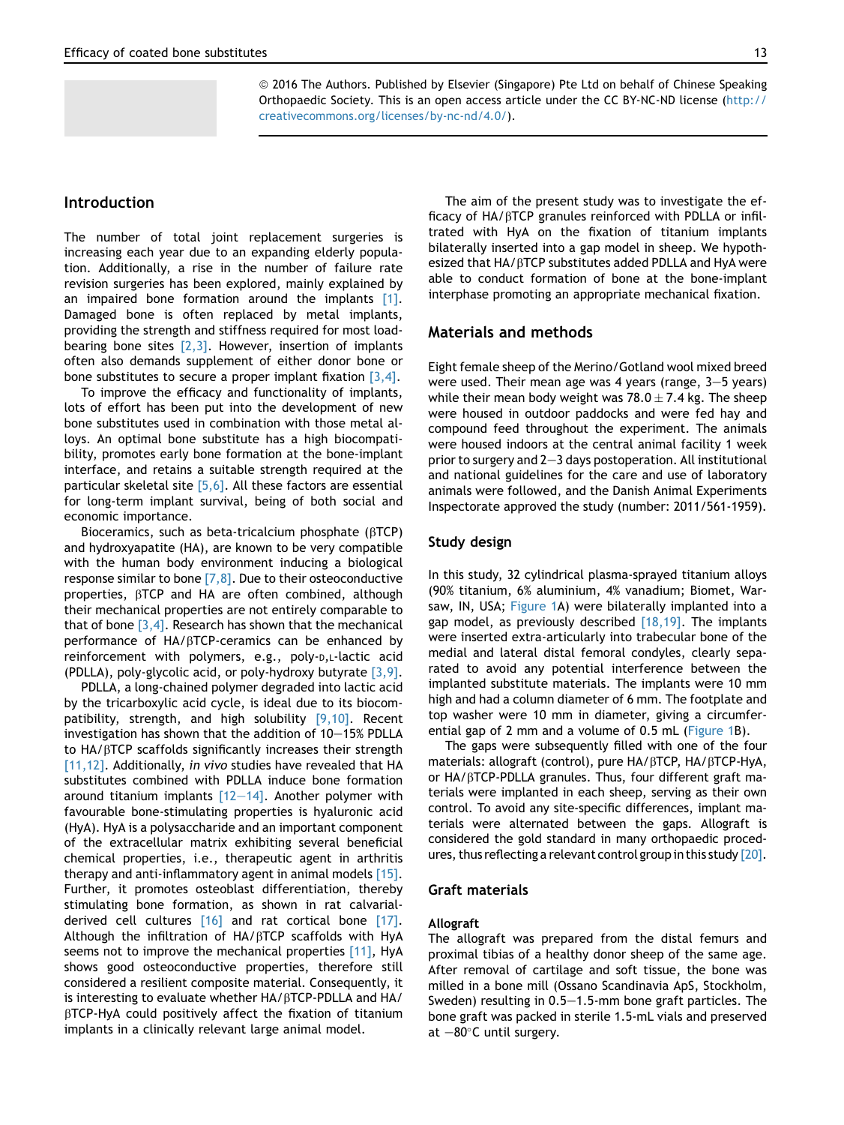ª 2016 The Authors. Published by Elsevier (Singapore) Pte Ltd on behalf of Chinese Speaking Orthopaedic Society. This is an open access article under the CC BY-NC-ND license ([http://](http://creativecommons.org/licenses/by-nc-nd/4.0/) [creativecommons.org/licenses/by-nc-nd/4.0/\)](http://creativecommons.org/licenses/by-nc-nd/4.0/).

# Introduction

The number of total joint replacement surgeries is increasing each year due to an expanding elderly population. Additionally, a rise in the number of failure rate revision surgeries has been explored, mainly explained by an impaired bone formation around the implants [\[1\]](#page-6-0). Damaged bone is often replaced by metal implants, providing the strength and stiffness required for most loadbearing bone sites  $[2,3]$ . However, insertion of implants often also demands supplement of either donor bone or bone substitutes to secure a proper implant fixation  $[3,4]$ .

To improve the efficacy and functionality of implants, lots of effort has been put into the development of new bone substitutes used in combination with those metal alloys. An optimal bone substitute has a high biocompatibility, promotes early bone formation at the bone-implant interface, and retains a suitable strength required at the particular skeletal site [\[5,6\]](#page-6-0). All these factors are essential for long-term implant survival, being of both social and economic importance.

Bioceramics, such as beta-tricalcium phosphate (BTCP) and hydroxyapatite (HA), are known to be very compatible with the human body environment inducing a biological response similar to bone  $[7,8]$ . Due to their osteoconductive properties, bTCP and HA are often combined, although their mechanical properties are not entirely comparable to that of bone  $[3,4]$ . Research has shown that the mechanical performance of HA/bTCP-ceramics can be enhanced by reinforcement with polymers, e.g., poly-D,L-lactic acid (PDLLA), poly-glycolic acid, or poly-hydroxy butyrate  $[3,9]$ .

PDLLA, a long-chained polymer degraded into lactic acid by the tricarboxylic acid cycle, is ideal due to its biocompatibility, strength, and high solubility [\[9,10\].](#page-6-0) Recent investigation has shown that the addition of  $10-15%$  PDLLA to  $HA/\beta$ TCP scaffolds significantly increases their strength [\[11,12\].](#page-6-0) Additionally, in vivo studies have revealed that HA substitutes combined with PDLLA induce bone formation around titanium implants  $[12-14]$  $[12-14]$  $[12-14]$ . Another polymer with favourable bone-stimulating properties is hyaluronic acid (HyA). HyA is a polysaccharide and an important component of the extracellular matrix exhibiting several beneficial chemical properties, i.e., therapeutic agent in arthritis therapy and anti-inflammatory agent in animal models [\[15\]](#page-6-0). Further, it promotes osteoblast differentiation, thereby stimulating bone formation, as shown in rat calvarialderived cell cultures [\[16\]](#page-6-0) and rat cortical bone [\[17\]](#page-6-0). Although the infiltration of  $HA/\beta TCP$  scaffolds with HyA seems not to improve the mechanical properties [\[11\]](#page-6-0), HyA shows good osteoconductive properties, therefore still considered a resilient composite material. Consequently, it is interesting to evaluate whether  $HA/BTCP$ -PDLLA and  $HA/$  $\beta$ TCP-HyA could positively affect the fixation of titanium implants in a clinically relevant large animal model.

The aim of the present study was to investigate the efficacy of  $HA/β$ TCP granules reinforced with PDLLA or infiltrated with HyA on the fixation of titanium implants bilaterally inserted into a gap model in sheep. We hypothesized that HA/ $\beta$ TCP substitutes added PDLLA and HyA were able to conduct formation of bone at the bone-implant interphase promoting an appropriate mechanical fixation.

# Materials and methods

Eight female sheep of the Merino/Gotland wool mixed breed were used. Their mean age was 4 years (range,  $3-5$  years) while their mean body weight was  $78.0 \pm 7.4$  kg. The sheep were housed in outdoor paddocks and were fed hay and compound feed throughout the experiment. The animals were housed indoors at the central animal facility 1 week prior to surgery and  $2-3$  days postoperation. All institutional and national guidelines for the care and use of laboratory animals were followed, and the Danish Animal Experiments Inspectorate approved the study (number: 2011/561-1959).

#### Study design

In this study, 32 cylindrical plasma-sprayed titanium alloys (90% titanium, 6% aluminium, 4% vanadium; Biomet, Warsaw, IN, USA; [Figure 1A](#page-2-0)) were bilaterally implanted into a gap model, as previously described [\[18,19\].](#page-6-0) The implants were inserted extra-articularly into trabecular bone of the medial and lateral distal femoral condyles, clearly separated to avoid any potential interference between the implanted substitute materials. The implants were 10 mm high and had a column diameter of 6 mm. The footplate and top washer were 10 mm in diameter, giving a circumferential gap of 2 mm and a volume of 0.5 mL ([Figure 1](#page-2-0)B).

The gaps were subsequently filled with one of the four materials: allograft (control), pure HA/ $\beta$ TCP, HA/ $\beta$ TCP-HyA, or HA/ $\beta$ TCP-PDLLA granules. Thus, four different graft materials were implanted in each sheep, serving as their own control. To avoid any site-specific differences, implant materials were alternated between the gaps. Allograft is considered the gold standard in many orthopaedic procedures, thus reflecting a relevant control group in this study [\[20\]](#page-7-0).

# Graft materials

#### Allograft

The allograft was prepared from the distal femurs and proximal tibias of a healthy donor sheep of the same age. After removal of cartilage and soft tissue, the bone was milled in a bone mill (Ossano Scandinavia ApS, Stockholm, Sweden) resulting in  $0.5-1.5$ -mm bone graft particles. The bone graft was packed in sterile 1.5-mL vials and preserved at  $-80^\circ$ C until surgery.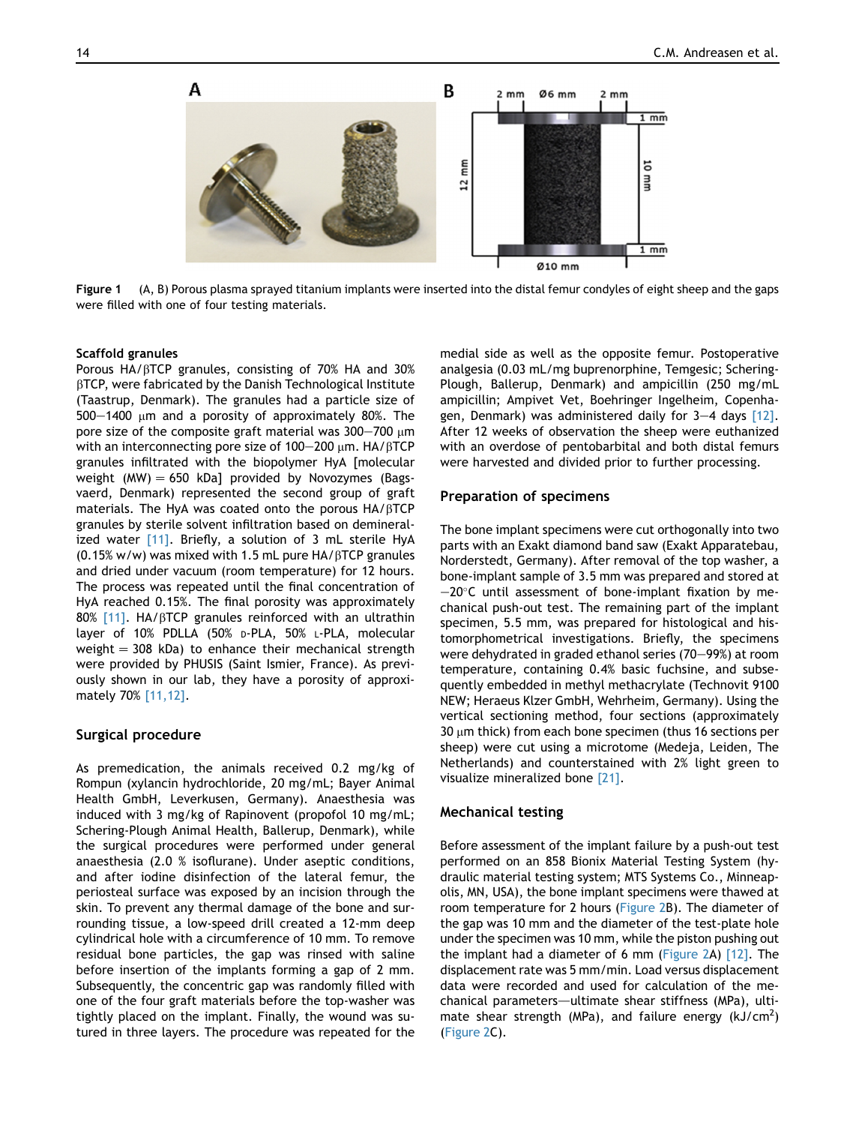<span id="page-2-0"></span>

Figure 1 (A, B) Porous plasma sprayed titanium implants were inserted into the distal femur condyles of eight sheep and the gaps were filled with one of four testing materials.

#### Scaffold granules

Porous  $HA/\beta$ TCP granules, consisting of 70% HA and 30%  $\beta$ TCP, were fabricated by the Danish Technological Institute (Taastrup, Denmark). The granules had a particle size of  $500-1400$  µm and a porosity of approximately 80%. The pore size of the composite graft material was  $300-700 \mu m$ with an interconnecting pore size of 100-200  $\mu$ m. HA/ $\beta$ TCP granules infiltrated with the biopolymer HyA [molecular weight (MW)  $= 650$  kDa] provided by Novozymes (Bagsvaerd, Denmark) represented the second group of graft materials. The HyA was coated onto the porous  $HA/\beta TCP$ granules by sterile solvent infiltration based on demineralized water [\[11\].](#page-6-0) Briefly, a solution of 3 mL sterile HyA  $(0.15\% \text{ w/w})$  was mixed with 1.5 mL pure HA/ $\beta$ TCP granules and dried under vacuum (room temperature) for 12 hours. The process was repeated until the final concentration of HyA reached 0.15%. The final porosity was approximately 80% [\[11\].](#page-6-0) HA/ $\beta$ TCP granules reinforced with an ultrathin layer of 10% PDLLA (50% D-PLA, 50% L-PLA, molecular weight  $= 308$  kDa) to enhance their mechanical strength were provided by PHUSIS (Saint Ismier, France). As previously shown in our lab, they have a porosity of approximately 70% [\[11,12\].](#page-6-0)

# Surgical procedure

As premedication, the animals received 0.2 mg/kg of Rompun (xylancin hydrochloride, 20 mg/mL; Bayer Animal Health GmbH, Leverkusen, Germany). Anaesthesia was induced with 3 mg/kg of Rapinovent (propofol 10 mg/mL; Schering-Plough Animal Health, Ballerup, Denmark), while the surgical procedures were performed under general anaesthesia (2.0 % isoflurane). Under aseptic conditions, and after iodine disinfection of the lateral femur, the periosteal surface was exposed by an incision through the skin. To prevent any thermal damage of the bone and surrounding tissue, a low-speed drill created a 12-mm deep cylindrical hole with a circumference of 10 mm. To remove residual bone particles, the gap was rinsed with saline before insertion of the implants forming a gap of 2 mm. Subsequently, the concentric gap was randomly filled with one of the four graft materials before the top-washer was tightly placed on the implant. Finally, the wound was sutured in three layers. The procedure was repeated for the medial side as well as the opposite femur. Postoperative analgesia (0.03 mL/mg buprenorphine, Temgesic; Schering-Plough, Ballerup, Denmark) and ampicillin (250 mg/mL ampicillin; Ampivet Vet, Boehringer Ingelheim, Copenhagen, Denmark) was administered daily for  $3-4$  days  $[12]$ . After 12 weeks of observation the sheep were euthanized with an overdose of pentobarbital and both distal femurs were harvested and divided prior to further processing.

#### Preparation of specimens

The bone implant specimens were cut orthogonally into two parts with an Exakt diamond band saw (Exakt Apparatebau, Norderstedt, Germany). After removal of the top washer, a bone-implant sample of 3.5 mm was prepared and stored at  $-20^{\circ}$ C until assessment of bone-implant fixation by mechanical push-out test. The remaining part of the implant specimen, 5.5 mm, was prepared for histological and histomorphometrical investigations. Briefly, the specimens were dehydrated in graded ethanol series (70-99%) at room temperature, containing 0.4% basic fuchsine, and subsequently embedded in methyl methacrylate (Technovit 9100 NEW; Heraeus Klzer GmbH, Wehrheim, Germany). Using the vertical sectioning method, four sections (approximately 30  $\mu$ m thick) from each bone specimen (thus 16 sections per sheep) were cut using a microtome (Medeja, Leiden, The Netherlands) and counterstained with 2% light green to visualize mineralized bone [\[21\].](#page-7-0)

#### Mechanical testing

Before assessment of the implant failure by a push-out test performed on an 858 Bionix Material Testing System (hydraulic material testing system; MTS Systems Co., Minneapolis, MN, USA), the bone implant specimens were thawed at room temperature for 2 hours ([Figure 2](#page-3-0)B). The diameter of the gap was 10 mm and the diameter of the test-plate hole under the specimen was 10 mm, while the piston pushing out the implant had a diameter of 6 mm ([Figure 2A](#page-3-0)) [\[12\]](#page-6-0). The displacement rate was 5 mm/min. Load versus displacement data were recorded and used for calculation of the mechanical parameters—ultimate shear stiffness (MPa), ultimate shear strength (MPa), and failure energy (kJ/cm<sup>2</sup>) [\(Figure 2C](#page-3-0)).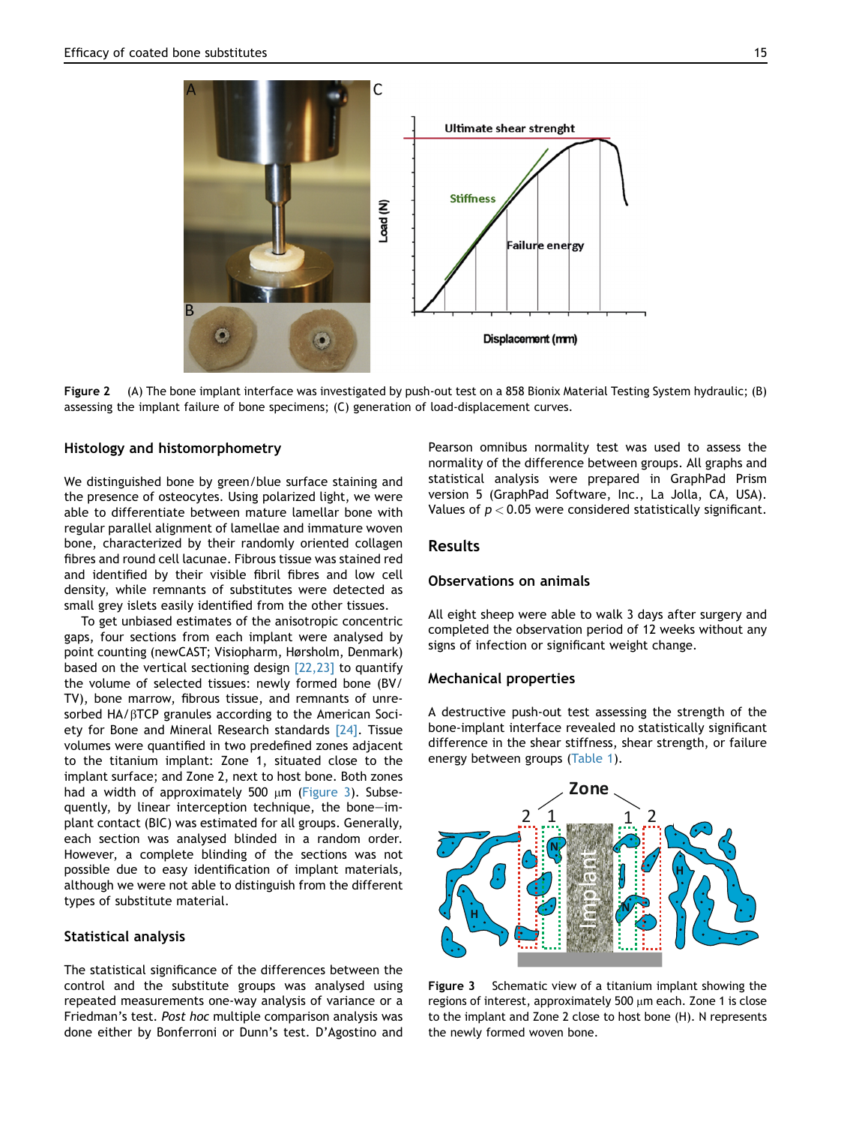<span id="page-3-0"></span>

Figure 2 (A) The bone implant interface was investigated by push-out test on a 858 Bionix Material Testing System hydraulic; (B) assessing the implant failure of bone specimens; (C) generation of load-displacement curves.

# Histology and histomorphometry

We distinguished bone by green/blue surface staining and the presence of osteocytes. Using polarized light, we were able to differentiate between mature lamellar bone with regular parallel alignment of lamellae and immature woven bone, characterized by their randomly oriented collagen fibres and round cell lacunae. Fibrous tissue was stained red and identified by their visible fibril fibres and low cell density, while remnants of substitutes were detected as small grey islets easily identified from the other tissues.

To get unbiased estimates of the anisotropic concentric gaps, four sections from each implant were analysed by point counting (newCAST; Visiopharm, Hørsholm, Denmark) based on the vertical sectioning design  $[22,23]$  to quantify the volume of selected tissues: newly formed bone (BV/ TV), bone marrow, fibrous tissue, and remnants of unresorbed HA/ $\beta$ TCP granules according to the American Society for Bone and Mineral Research standards [\[24\].](#page-7-0) Tissue volumes were quantified in two predefined zones adjacent to the titanium implant: Zone 1, situated close to the implant surface; and Zone 2, next to host bone. Both zones had a width of approximately 500  $\mu$ m (Figure 3). Subsequently, by linear interception technique, the bone-implant contact (BIC) was estimated for all groups. Generally, each section was analysed blinded in a random order. However, a complete blinding of the sections was not possible due to easy identification of implant materials, although we were not able to distinguish from the different types of substitute material.

# Statistical analysis

The statistical significance of the differences between the control and the substitute groups was analysed using repeated measurements one-way analysis of variance or a Friedman's test. Post hoc multiple comparison analysis was done either by Bonferroni or Dunn's test. D'Agostino and

Pearson omnibus normality test was used to assess the normality of the difference between groups. All graphs and statistical analysis were prepared in GraphPad Prism version 5 (GraphPad Software, Inc., La Jolla, CA, USA). Values of  $p < 0.05$  were considered statistically significant.

# Results

# Observations on animals

All eight sheep were able to walk 3 days after surgery and completed the observation period of 12 weeks without any signs of infection or significant weight change.

# Mechanical properties

A destructive push-out test assessing the strength of the bone-implant interface revealed no statistically significant difference in the shear stiffness, shear strength, or failure energy between groups [\(Table 1](#page-4-0)).



Figure 3 Schematic view of a titanium implant showing the regions of interest, approximately 500  $\mu$ m each. Zone 1 is close to the implant and Zone 2 close to host bone (H). N represents the newly formed woven bone.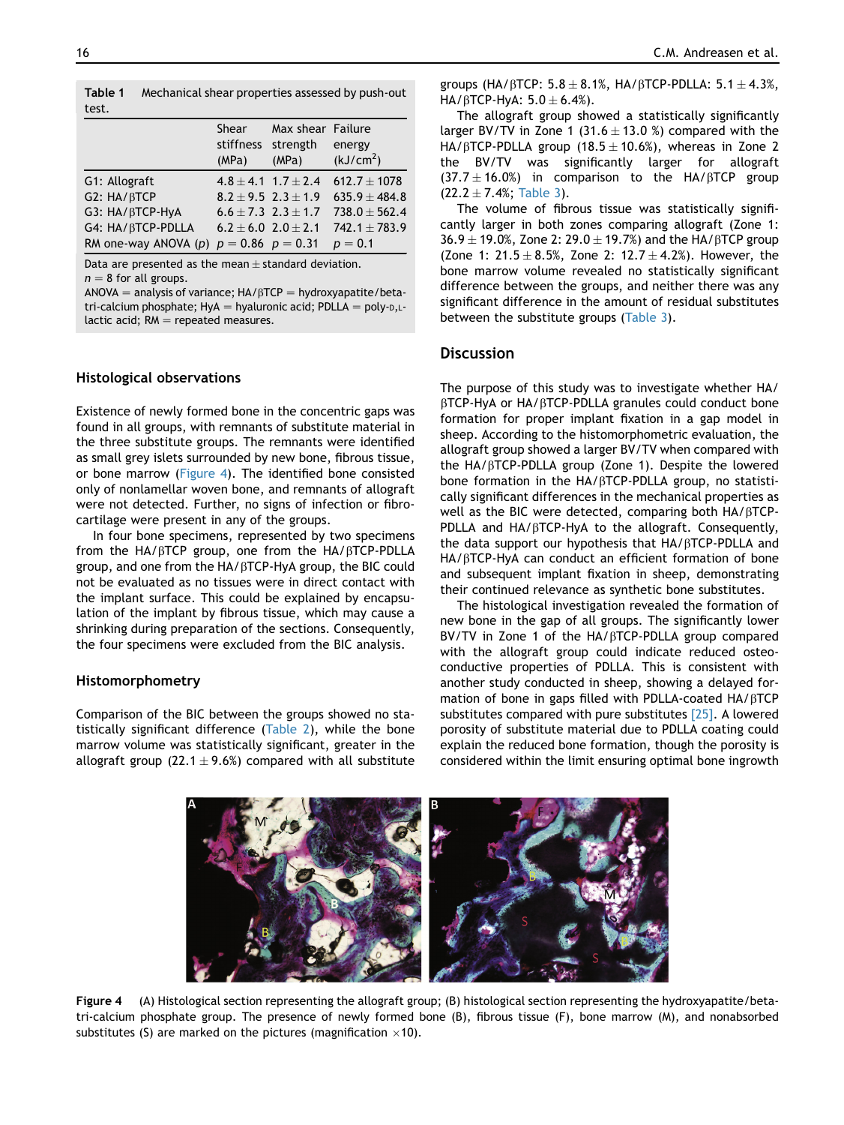<span id="page-4-0"></span>

| Table 1<br>test.         | Mechanical shear properties assessed by push-out |                             |                                 |  |  |
|--------------------------|--------------------------------------------------|-----------------------------|---------------------------------|--|--|
|                          | Shear<br>stiffness strength<br>(MPa)             | Max shear Failure<br>(MPa)  | energy<br>(kJ/cm <sup>2</sup> ) |  |  |
| G1: Allograft            |                                                  | $4.8 \pm 4.1$ 1.7 $\pm$ 2.4 | $612.7 + 1078$                  |  |  |
| G2: HA/ <sub>B</sub> TCP |                                                  | $8.2 + 9.5$ $2.3 + 1.9$     | $635.9 + 484.8$                 |  |  |
| G3: HA/BTCP-HyA          |                                                  | $6.6 \pm 7.3$ $2.3 \pm 1.7$ | $738.0 + 562.4$                 |  |  |
| G4: HA/ BTCP-PDLLA       | $6.2 + 6.0$ $2.0 + 2.1$                          |                             | $742.1 + 783.9$                 |  |  |
| RM one-way ANOVA (p)     | $p = 0.86$ $p = 0.31$                            |                             | $p = 0.1$                       |  |  |

Data are presented as the mean  $\pm$  standard deviation.  $n = 8$  for all groups.

 $ANOVA =$  analysis of variance;  $HA/BTCP =$  hydroxyapatite/betatri-calcium phosphate; HyA = hyaluronic acid; PDLLA = poly- $D, L$ lactic acid;  $RM$  = repeated measures.

# Histological observations

Existence of newly formed bone in the concentric gaps was found in all groups, with remnants of substitute material in the three substitute groups. The remnants were identified as small grey islets surrounded by new bone, fibrous tissue, or bone marrow (Figure 4). The identified bone consisted only of nonlamellar woven bone, and remnants of allograft were not detected. Further, no signs of infection or fibrocartilage were present in any of the groups.

In four bone specimens, represented by two specimens from the HA/bTCP group, one from the HA/bTCP-PDLLA group, and one from the HA/bTCP-HyA group, the BIC could not be evaluated as no tissues were in direct contact with the implant surface. This could be explained by encapsulation of the implant by fibrous tissue, which may cause a shrinking during preparation of the sections. Consequently, the four specimens were excluded from the BIC analysis.

# Histomorphometry

Comparison of the BIC between the groups showed no statistically significant difference ([Table 2\)](#page-5-0), while the bone marrow volume was statistically significant, greater in the allograft group (22.1  $\pm$  9.6%) compared with all substitute groups (HA/ $\beta$ TCP: 5.8  $\pm$  8.1%, HA/ $\beta$ TCP-PDLLA: 5.1  $\pm$  4.3%, HA/BTCP-HyA:  $5.0 \pm 6.4%$ ).

The allograft group showed a statistically significantly larger BV/TV in Zone 1 (31.6  $\pm$  13.0 %) compared with the HA/ $\beta$ TCP-PDLLA group (18.5  $\pm$  10.6%), whereas in Zone 2 the BV/TV was significantly larger for allograft  $(37.7 \pm 16.0%)$  in comparison to the HA/ $\beta$ TCP group  $(22.2 \pm 7.4\%;$  [Table 3\)](#page-5-0).

The volume of fibrous tissue was statistically significantly larger in both zones comparing allograft (Zone 1:  $36.9 \pm 19.0$ %, Zone 2:  $29.0 \pm 19.7$ %) and the HA/ $\beta$ TCP group (Zone 1:  $21.5 \pm 8.5$ %, Zone 2:  $12.7 \pm 4.2$ %). However, the bone marrow volume revealed no statistically significant difference between the groups, and neither there was any significant difference in the amount of residual substitutes between the substitute groups [\(Table 3](#page-5-0)).

# **Discussion**

The purpose of this study was to investigate whether HA/ bTCP-HyA or HA/bTCP-PDLLA granules could conduct bone formation for proper implant fixation in a gap model in sheep. According to the histomorphometric evaluation, the allograft group showed a larger BV/TV when compared with the HA/bTCP-PDLLA group (Zone 1). Despite the lowered bone formation in the HA/bTCP-PDLLA group, no statistically significant differences in the mechanical properties as well as the BIC were detected, comparing both  $HA/\beta TCP$ -PDLLA and  $HA/βTCP-HyA$  to the allograft. Consequently, the data support our hypothesis that HA/bTCP-PDLLA and HA/ $\beta$ TCP-HyA can conduct an efficient formation of bone and subsequent implant fixation in sheep, demonstrating their continued relevance as synthetic bone substitutes.

The histological investigation revealed the formation of new bone in the gap of all groups. The significantly lower BV/TV in Zone 1 of the HA/ $\beta$ TCP-PDLLA group compared with the allograft group could indicate reduced osteoconductive properties of PDLLA. This is consistent with another study conducted in sheep, showing a delayed formation of bone in gaps filled with PDLLA-coated HA/bTCP substitutes compared with pure substitutes [\[25\].](#page-7-0) A lowered porosity of substitute material due to PDLLA coating could explain the reduced bone formation, though the porosity is considered within the limit ensuring optimal bone ingrowth



Figure 4 (A) Histological section representing the allograft group; (B) histological section representing the hydroxyapatite/betatri-calcium phosphate group. The presence of newly formed bone (B), fibrous tissue (F), bone marrow (M), and nonabsorbed substitutes (S) are marked on the pictures (magnification  $\times$ 10).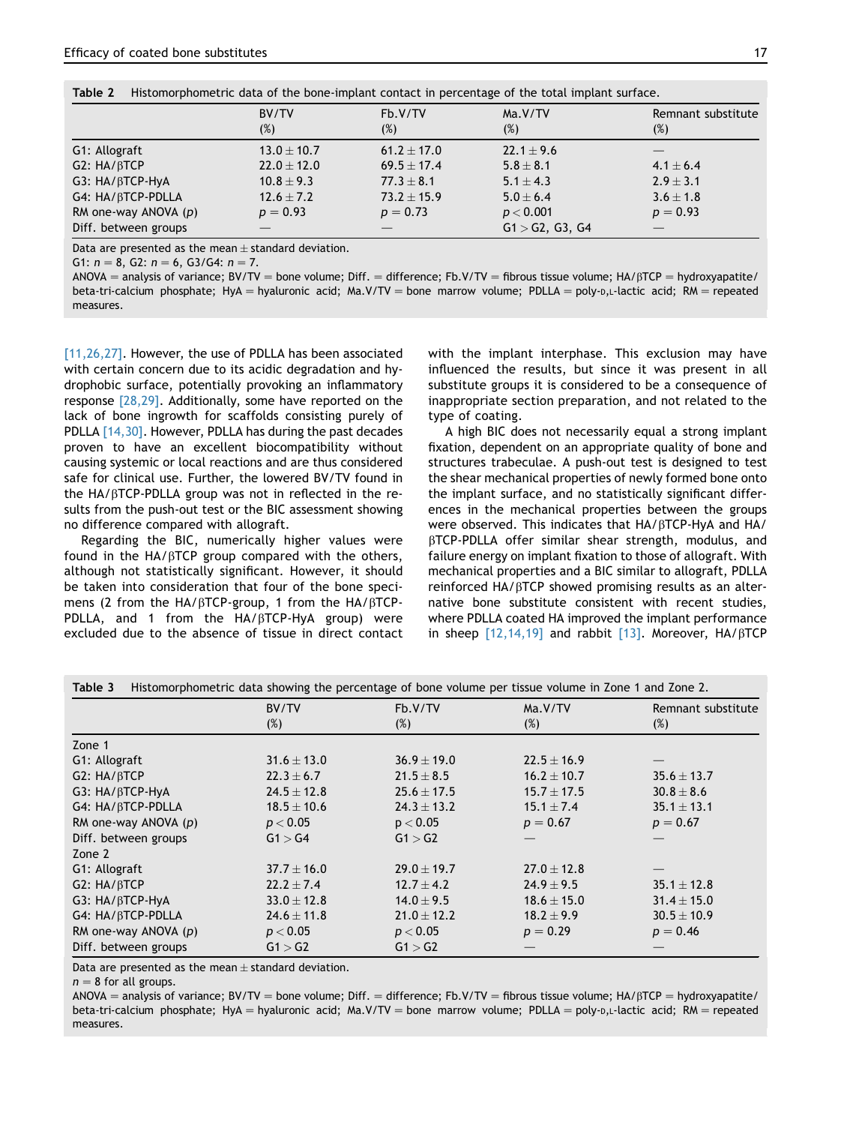<span id="page-5-0"></span>

| Table 2<br>Histomorphometric data of the bone-implant contact in percentage of the total implant surface. |                 |               |                 |                    |  |
|-----------------------------------------------------------------------------------------------------------|-----------------|---------------|-----------------|--------------------|--|
|                                                                                                           | BV/TV           | Fb.V/TV       | Ma.V/TV         | Remnant substitute |  |
|                                                                                                           | (%)             | (%)           | $(\%)$          | $(\%)$             |  |
| G1: Allograft                                                                                             | $13.0 \pm 10.7$ | $61.2 + 17.0$ | $22.1 \pm 9.6$  |                    |  |
| G2: HA/BTCP                                                                                               | $22.0 + 12.0$   | $69.5 + 17.4$ | $5.8 \pm 8.1$   | $4.1 \pm 6.4$      |  |
| G3: HA/BTCP-HyA                                                                                           | $10.8 + 9.3$    | $77.3 + 8.1$  | $5.1 + 4.3$     | $2.9 + 3.1$        |  |
| G4: HA/BTCP-PDLLA                                                                                         | $12.6 + 7.2$    | $73.2 + 15.9$ | $5.0 + 6.4$     | $3.6 \pm 1.8$      |  |
| RM one-way ANOVA $(p)$                                                                                    | $p = 0.93$      | $p = 0.73$    | p < 0.001       | $p = 0.93$         |  |
| Diff. between groups                                                                                      |                 |               | G1 > G2, G3, G4 |                    |  |

Data are presented as the mean  $\pm$  standard deviation.

G1:  $n = 8$ , G2:  $n = 6$ , G3/G4:  $n = 7$ .

 $ANDVA =$  analysis of variance; BV/TV = bone volume; Diff. = difference; Fb.V/TV = fibrous tissue volume; HA/ $\beta$ TCP = hydroxyapatite/ beta-tri-calcium phosphate; HyA = hyaluronic acid; Ma.V/TV = bone marrow volume; PDLLA = poly- $D$ ,L-lactic acid; RM = repeated measures.

[\[11,26,27\]](#page-6-0). However, the use of PDLLA has been associated with certain concern due to its acidic degradation and hydrophobic surface, potentially provoking an inflammatory response  $[28,29]$ . Additionally, some have reported on the lack of bone ingrowth for scaffolds consisting purely of PDLLA [\[14,30\]](#page-6-0). However, PDLLA has during the past decades proven to have an excellent biocompatibility without causing systemic or local reactions and are thus considered safe for clinical use. Further, the lowered BV/TV found in the  $HA/BTCP-PDLLA$  group was not in reflected in the results from the push-out test or the BIC assessment showing no difference compared with allograft.

Regarding the BIC, numerically higher values were found in the  $HA/β$ TCP group compared with the others, although not statistically significant. However, it should be taken into consideration that four of the bone specimens (2 from the HA/ $\beta$ TCP-group, 1 from the HA/ $\beta$ TCP-PDLLA, and 1 from the  $HA/BTCP-HyA$  group) were excluded due to the absence of tissue in direct contact with the implant interphase. This exclusion may have influenced the results, but since it was present in all substitute groups it is considered to be a consequence of inappropriate section preparation, and not related to the type of coating.

A high BIC does not necessarily equal a strong implant fixation, dependent on an appropriate quality of bone and structures trabeculae. A push-out test is designed to test the shear mechanical properties of newly formed bone onto the implant surface, and no statistically significant differences in the mechanical properties between the groups were observed. This indicates that  $HA/\beta$ TCP-HyA and  $HA/$ bTCP-PDLLA offer similar shear strength, modulus, and failure energy on implant fixation to those of allograft. With mechanical properties and a BIC similar to allograft, PDLLA reinforced  $HA/βTCP$  showed promising results as an alternative bone substitute consistent with recent studies, where PDLLA coated HA improved the implant performance in sheep  $[12, 14, 19]$  and rabbit  $[13]$ . Moreover, HA/ $\beta$ TCP

|                        | BV/TV           | Fb.V/TV         | Ma.V/TV         | Remnant substitute |  |
|------------------------|-----------------|-----------------|-----------------|--------------------|--|
|                        | (%)             | (%)             | (%)             | (%)                |  |
| Zone 1                 |                 |                 |                 |                    |  |
| G1: Allograft          | $31.6 \pm 13.0$ | $36.9 \pm 19.0$ | $22.5 + 16.9$   |                    |  |
| G2: HA/BTCP            | $22.3 \pm 6.7$  | $21.5 \pm 8.5$  | $16.2 \pm 10.7$ | $35.6 \pm 13.7$    |  |
| G3: HA/BTCP-HyA        | $24.5 \pm 12.8$ | $25.6 \pm 17.5$ | $15.7 \pm 17.5$ | $30.8 \pm 8.6$     |  |
| G4: HA/BTCP-PDLLA      | $18.5 \pm 10.6$ | $24.3 \pm 13.2$ | $15.1 \pm 7.4$  | $35.1 \pm 13.1$    |  |
| RM one-way ANOVA (p)   | p < 0.05        | p < 0.05        | $p = 0.67$      | $p = 0.67$         |  |
| Diff. between groups   | G1 > G4         | G1 > G2         |                 |                    |  |
| Zone 2                 |                 |                 |                 |                    |  |
| G1: Allograft          | $37.7 \pm 16.0$ | $29.0 + 19.7$   | $27.0 + 12.8$   |                    |  |
| G2: HA/BTCP            | $22.2 \pm 7.4$  | $12.7 \pm 4.2$  | $24.9 \pm 9.5$  | $35.1 \pm 12.8$    |  |
| G3: HA/BTCP-HyA        | $33.0 \pm 12.8$ | $14.0 \pm 9.5$  | $18.6 \pm 15.0$ | $31.4 \pm 15.0$    |  |
| G4: HA/BTCP-PDLLA      | $24.6 \pm 11.8$ | $21.0 \pm 12.2$ | $18.2 \pm 9.9$  | $30.5 \pm 10.9$    |  |
| RM one-way ANOVA $(p)$ | p < 0.05        | p < 0.05        | $p = 0.29$      | $p = 0.46$         |  |
| Diff. between groups   | G1 > G2         | G1 > G2         |                 |                    |  |

|  | Table 3 Histomorphometric data showing the percentage of bone volume per tissue volume in Zone 1 and Zone 2. |  |  |  |  |  |  |  |
|--|--------------------------------------------------------------------------------------------------------------|--|--|--|--|--|--|--|
|--|--------------------------------------------------------------------------------------------------------------|--|--|--|--|--|--|--|

Data are presented as the mean  $\pm$  standard deviation.

 $n = 8$  for all groups.

 $ANDVA =$  analysis of variance; BV/TV = bone volume; Diff. = difference; Fb.V/TV = fibrous tissue volume; HA/ $\beta$ TCP = hydroxyapatite/ beta-tri-calcium phosphate; HyA = hyaluronic acid; Ma.V/TV = bone marrow volume; PDLLA = poly-D,L-lactic acid; RM = repeated measures.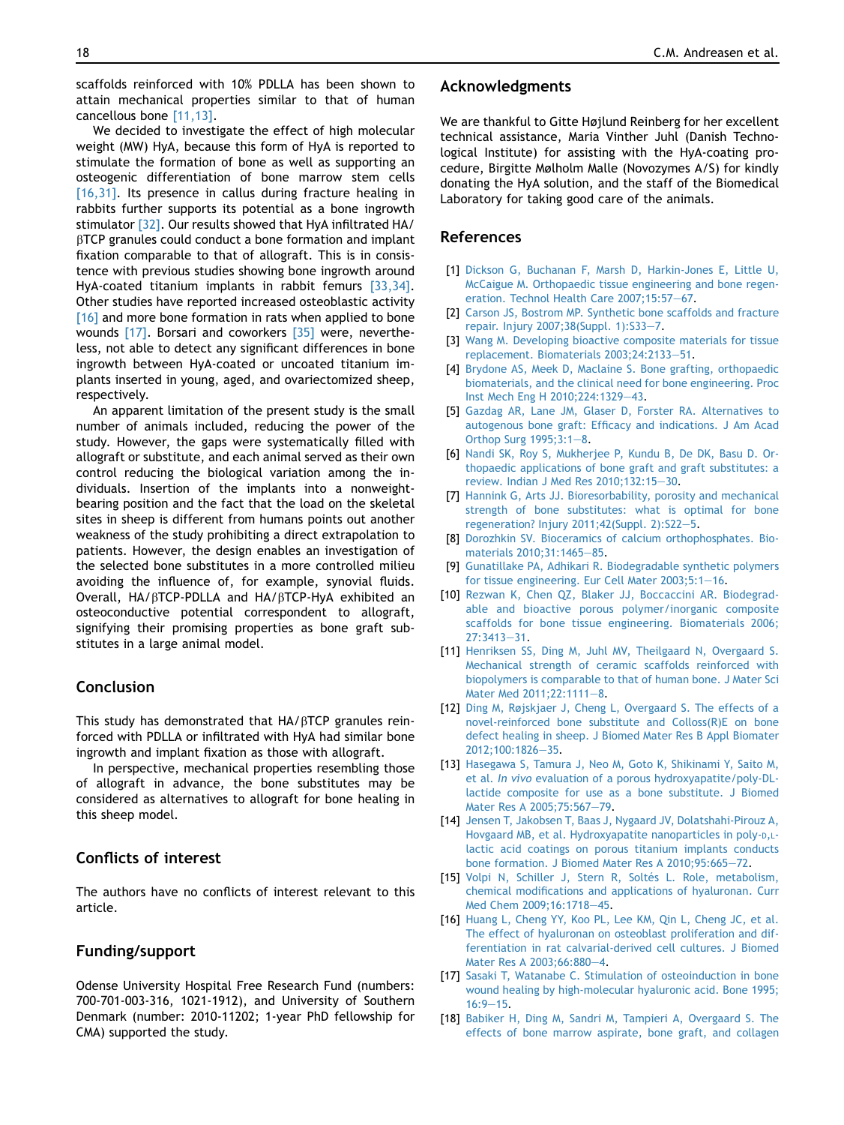We decided to investigate the effect of high molecular weight (MW) HyA, because this form of HyA is reported to stimulate the formation of bone as well as supporting an osteogenic differentiation of bone marrow stem cells [16,31]. Its presence in callus during fracture healing in rabbits further supports its potential as a bone ingrowth stimulator [\[32\]](#page-7-0). Our results showed that HyA infiltrated HA/ BTCP granules could conduct a bone formation and implant fixation comparable to that of allograft. This is in consistence with previous studies showing bone ingrowth around HyA-coated titanium implants in rabbit femurs [\[33,34\].](#page-7-0) Other studies have reported increased osteoblastic activity [16] and more bone formation in rats when applied to bone wounds [17]. Borsari and coworkers [\[35\]](#page-7-0) were, nevertheless, not able to detect any significant differences in bone ingrowth between HyA-coated or uncoated titanium implants inserted in young, aged, and ovariectomized sheep, respectively.

An apparent limitation of the present study is the small number of animals included, reducing the power of the study. However, the gaps were systematically filled with allograft or substitute, and each animal served as their own control reducing the biological variation among the individuals. Insertion of the implants into a nonweightbearing position and the fact that the load on the skeletal sites in sheep is different from humans points out another weakness of the study prohibiting a direct extrapolation to patients. However, the design enables an investigation of the selected bone substitutes in a more controlled milieu avoiding the influence of, for example, synovial fluids. Overall, HA/bTCP-PDLLA and HA/bTCP-HyA exhibited an osteoconductive potential correspondent to allograft, signifying their promising properties as bone graft substitutes in a large animal model.

# Conclusion

This study has demonstrated that HA/BTCP granules reinforced with PDLLA or infiltrated with HyA had similar bone ingrowth and implant fixation as those with allograft.

In perspective, mechanical properties resembling those of allograft in advance, the bone substitutes may be considered as alternatives to allograft for bone healing in this sheep model.

# Conflicts of interest

The authors have no conflicts of interest relevant to this article.

# Funding/support

Odense University Hospital Free Research Fund (numbers: 700-701-003-316, 1021-1912), and University of Southern Denmark (number: 2010-11202; 1-year PhD fellowship for CMA) supported the study.

#### <span id="page-6-0"></span>18 C.M. Andreasen et al.

# Acknowledgments

We are thankful to Gitte Højlund Reinberg for her excellent technical assistance, Maria Vinther Juhl (Danish Technological Institute) for assisting with the HyA-coating procedure, Birgitte Mølholm Malle (Novozymes A/S) for kindly donating the HyA solution, and the staff of the Biomedical Laboratory for taking good care of the animals.

# References

- [1] [Dickson G, Buchanan F, Marsh D, Harkin-Jones E, Little U,](http://refhub.elsevier.com/S2214-031X(16)30257-1/sref1) [McCaigue M. Orthopaedic tissue engineering and bone regen](http://refhub.elsevier.com/S2214-031X(16)30257-1/sref1)[eration. Technol Health Care 2007;15:57](http://refhub.elsevier.com/S2214-031X(16)30257-1/sref1)-[67](http://refhub.elsevier.com/S2214-031X(16)30257-1/sref1).
- [2] [Carson JS, Bostrom MP. Synthetic bone scaffolds and fracture](http://refhub.elsevier.com/S2214-031X(16)30257-1/sref2) [repair. Injury 2007;38\(Suppl. 1\):S33](http://refhub.elsevier.com/S2214-031X(16)30257-1/sref2)-[7.](http://refhub.elsevier.com/S2214-031X(16)30257-1/sref2)
- [3] [Wang M. Developing bioactive composite materials for tissue](http://refhub.elsevier.com/S2214-031X(16)30257-1/sref3) [replacement. Biomaterials 2003;24:2133](http://refhub.elsevier.com/S2214-031X(16)30257-1/sref3)-[51](http://refhub.elsevier.com/S2214-031X(16)30257-1/sref3).
- [4] [Brydone AS, Meek D, Maclaine S. Bone grafting, orthopaedic](http://refhub.elsevier.com/S2214-031X(16)30257-1/sref4) [biomaterials, and the clinical need for bone engineering. Proc](http://refhub.elsevier.com/S2214-031X(16)30257-1/sref4) [Inst Mech Eng H 2010;224:1329](http://refhub.elsevier.com/S2214-031X(16)30257-1/sref4)-[43](http://refhub.elsevier.com/S2214-031X(16)30257-1/sref4).
- [5] [Gazdag AR, Lane JM, Glaser D, Forster RA. Alternatives to](http://refhub.elsevier.com/S2214-031X(16)30257-1/sref5) [autogenous bone graft: Efficacy and indications. J Am Acad](http://refhub.elsevier.com/S2214-031X(16)30257-1/sref5) Orthop Surg  $1995;3:1-8$ .
- [6] [Nandi SK, Roy S, Mukherjee P, Kundu B, De DK, Basu D. Or](http://refhub.elsevier.com/S2214-031X(16)30257-1/sref6)[thopaedic applications of bone graft and graft substitutes: a](http://refhub.elsevier.com/S2214-031X(16)30257-1/sref6) review. Indian J Med Res  $2010:132:15-30$  $2010:132:15-30$ .
- [7] [Hannink G, Arts JJ. Bioresorbability, porosity and mechanical](http://refhub.elsevier.com/S2214-031X(16)30257-1/sref7) [strength of bone substitutes: what is optimal for bone](http://refhub.elsevier.com/S2214-031X(16)30257-1/sref7) [regeneration? Injury 2011;42\(Suppl. 2\):S22](http://refhub.elsevier.com/S2214-031X(16)30257-1/sref7)-[5.](http://refhub.elsevier.com/S2214-031X(16)30257-1/sref7)
- [8] [Dorozhkin SV. Bioceramics of calcium orthophosphates. Bio](http://refhub.elsevier.com/S2214-031X(16)30257-1/sref8)[materials 2010;31:1465](http://refhub.elsevier.com/S2214-031X(16)30257-1/sref8)-[85](http://refhub.elsevier.com/S2214-031X(16)30257-1/sref8).
- [9] [Gunatillake PA, Adhikari R. Biodegradable synthetic polymers](http://refhub.elsevier.com/S2214-031X(16)30257-1/sref9) [for tissue engineering. Eur Cell Mater 2003;5:1](http://refhub.elsevier.com/S2214-031X(16)30257-1/sref9)-[16](http://refhub.elsevier.com/S2214-031X(16)30257-1/sref9).
- [10] [Rezwan K, Chen QZ, Blaker JJ, Boccaccini AR. Biodegrad](http://refhub.elsevier.com/S2214-031X(16)30257-1/sref10)[able and bioactive porous polymer/inorganic composite](http://refhub.elsevier.com/S2214-031X(16)30257-1/sref10) [scaffolds for bone tissue engineering. Biomaterials 2006;](http://refhub.elsevier.com/S2214-031X(16)30257-1/sref10)  $27:3413 - 31.$  $27:3413 - 31.$  $27:3413 - 31.$
- [11] [Henriksen SS, Ding M, Juhl MV, Theilgaard N, Overgaard S.](http://refhub.elsevier.com/S2214-031X(16)30257-1/sref11) [Mechanical strength of ceramic scaffolds reinforced with](http://refhub.elsevier.com/S2214-031X(16)30257-1/sref11) [biopolymers is comparable to that of human bone. J Mater Sci](http://refhub.elsevier.com/S2214-031X(16)30257-1/sref11) [Mater Med 2011;22:1111](http://refhub.elsevier.com/S2214-031X(16)30257-1/sref11)-[8](http://refhub.elsevier.com/S2214-031X(16)30257-1/sref11).
- [12] [Ding M, Røjskjaer J, Cheng L, Overgaard S. The effects of a](http://refhub.elsevier.com/S2214-031X(16)30257-1/sref12) [novel-reinforced bone substitute and Colloss\(R\)E on bone](http://refhub.elsevier.com/S2214-031X(16)30257-1/sref12) [defect healing in sheep. J Biomed Mater Res B Appl Biomater](http://refhub.elsevier.com/S2214-031X(16)30257-1/sref12) [2012;100:1826](http://refhub.elsevier.com/S2214-031X(16)30257-1/sref12)-[35](http://refhub.elsevier.com/S2214-031X(16)30257-1/sref12).
- [13] [Hasegawa S, Tamura J, Neo M, Goto K, Shikinami Y, Saito M,](http://refhub.elsevier.com/S2214-031X(16)30257-1/sref13) et al. In vivo [evaluation of a porous hydroxyapatite/poly-DL](http://refhub.elsevier.com/S2214-031X(16)30257-1/sref13)[lactide composite for use as a bone substitute. J Biomed](http://refhub.elsevier.com/S2214-031X(16)30257-1/sref13) [Mater Res A 2005;75:567](http://refhub.elsevier.com/S2214-031X(16)30257-1/sref13)-[79](http://refhub.elsevier.com/S2214-031X(16)30257-1/sref13).
- [14] [Jensen T, Jakobsen T, Baas J, Nygaard JV, Dolatshahi-Pirouz A,](http://refhub.elsevier.com/S2214-031X(16)30257-1/sref14) [Hovgaard MB, et al. Hydroxyapatite nanoparticles in poly-D,L](http://refhub.elsevier.com/S2214-031X(16)30257-1/sref14)[lactic acid coatings on porous titanium implants conducts](http://refhub.elsevier.com/S2214-031X(16)30257-1/sref14) [bone formation. J Biomed Mater Res A 2010;95:665](http://refhub.elsevier.com/S2214-031X(16)30257-1/sref14)-[72](http://refhub.elsevier.com/S2214-031X(16)30257-1/sref14).
- [15] Volpi N, Schiller J, Stern R, Soltés L. Role, metabolism, [chemical modifications and applications of hyaluronan. Curr](http://refhub.elsevier.com/S2214-031X(16)30257-1/sref15) [Med Chem 2009;16:1718](http://refhub.elsevier.com/S2214-031X(16)30257-1/sref15)-[45](http://refhub.elsevier.com/S2214-031X(16)30257-1/sref15).
- [16] [Huang L, Cheng YY, Koo PL, Lee KM, Qin L, Cheng JC, et al.](http://refhub.elsevier.com/S2214-031X(16)30257-1/sref16) [The effect of hyaluronan on osteoblast proliferation and dif](http://refhub.elsevier.com/S2214-031X(16)30257-1/sref16)[ferentiation in rat calvarial-derived cell cultures. J Biomed](http://refhub.elsevier.com/S2214-031X(16)30257-1/sref16) [Mater Res A 2003;66:880](http://refhub.elsevier.com/S2214-031X(16)30257-1/sref16)-[4](http://refhub.elsevier.com/S2214-031X(16)30257-1/sref16).
- [17] [Sasaki T, Watanabe C. Stimulation of osteoinduction in bone](http://refhub.elsevier.com/S2214-031X(16)30257-1/sref17) [wound healing by high-molecular hyaluronic acid. Bone 1995;](http://refhub.elsevier.com/S2214-031X(16)30257-1/sref17)  $16:9 - 15.$  $16:9 - 15.$  $16:9 - 15.$  $16:9 - 15.$
- [18] [Babiker H, Ding M, Sandri M, Tampieri A, Overgaard S. The](http://refhub.elsevier.com/S2214-031X(16)30257-1/sref18) [effects of bone marrow aspirate, bone graft, and collagen](http://refhub.elsevier.com/S2214-031X(16)30257-1/sref18)